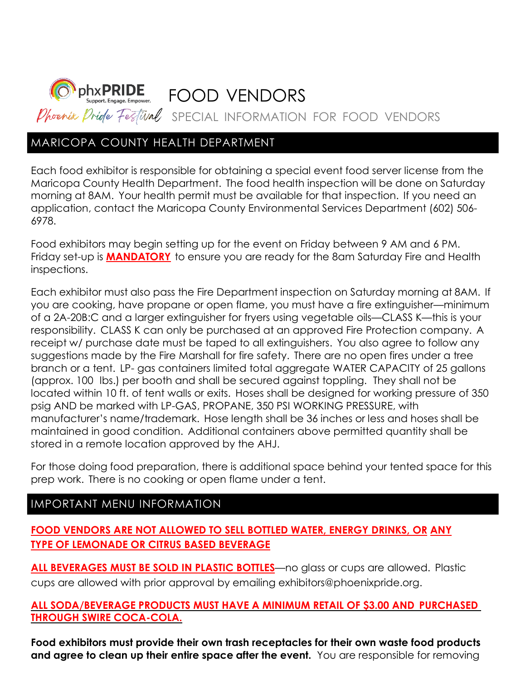

## MARICOPA COUNTY HEALTH DEPARTMENT

Each food exhibitor is responsible for obtaining a special event food server license from the Maricopa County Health Department. The food health inspection will be done on Saturday morning at 8AM. Your health permit must be available for that inspection. If you need an application, contact the Maricopa County Environmental Services Department (602) 506- 6978.

Food exhibitors may begin setting up for the event on Friday between 9 AM and 6 PM. Friday set-up is **MANDATORY** to ensure you are ready for the 8am Saturday Fire and Health inspections.

Each exhibitor must also pass the Fire Department inspection on Saturday morning at 8AM. If you are cooking, have propane or open flame, you must have a fire extinguisher—minimum of a 2A-20B:C and a larger extinguisher for fryers using vegetable oils—CLASS K—this is your responsibility. CLASS K can only be purchased at an approved Fire Protection company. A receipt w/ purchase date must be taped to all extinguishers. You also agree to follow any suggestions made by the Fire Marshall for fire safety. There are no open fires under a tree branch or a tent. LP- gas containers limited total aggregate WATER CAPACITY of 25 gallons (approx. 100 lbs.) per booth and shall be secured against toppling. They shall not be located within 10 ft. of tent walls or exits. Hoses shall be designed for working pressure of 350 psig AND be marked with LP-GAS, PROPANE, 350 PSI WORKING PRESSURE, with manufacturer's name/trademark. Hose length shall be 36 inches or less and hoses shall be maintained in good condition. Additional containers above permitted quantity shall be stored in a remote location approved by the AHJ.

For those doing food preparation, there is additional space behind your tented space for this prep work. There is no cooking or open flame under a tent.

## IMPORTANT MENU INFORMATION

## **FOOD VENDORS ARE NOT ALLOWED TO SELL BOTTLED WATER, ENERGY DRINKS, OR ANY TYPE OF LEMONADE OR CITRUS BASED BEVERAGE**

**ALL BEVERAGES MUST BE SOLD IN PLASTIC BOTTLES**—no glass or cups are allowed. Plastic cups are allowed with prior approval by emailing exhibitors@phoenixpride.org.

## **ALL SODA/BEVERAGE PRODUCTS MUST HAVE A MINIMUM RETAIL OF \$3.00 AND PURCHASED THROUGH SWIRE COCA-COLA.**

**Food exhibitors must provide their own trash receptacles for their own waste food products and agree to clean up their entire space after the event.** You are responsible for removing